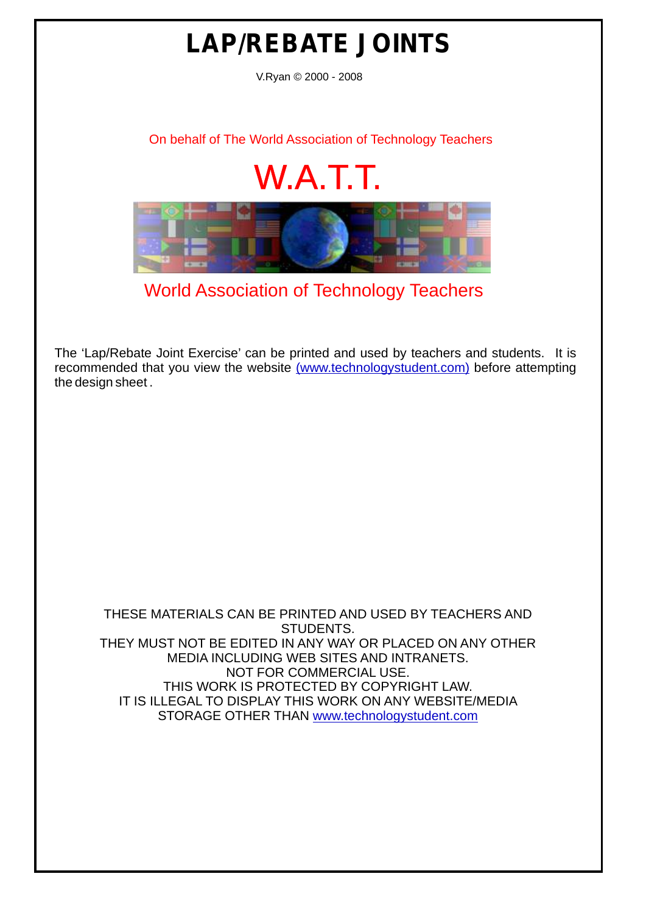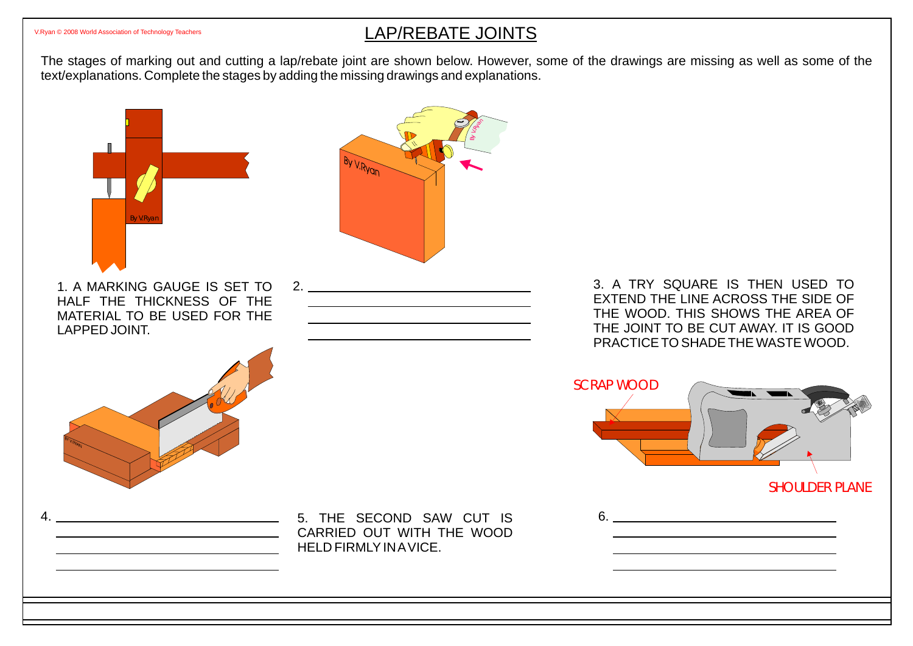## [V.Ryan © 2008 World Association of Technology Teachers](http://www.technologystudent.com) **LAP/REBATE JOINTS**

The stages of marking out and cutting a lap/rebate joint are shown below. However, some of the drawings are missing as well as some of the text/explanations. Complete the stages by adding the missing drawings and explanations.